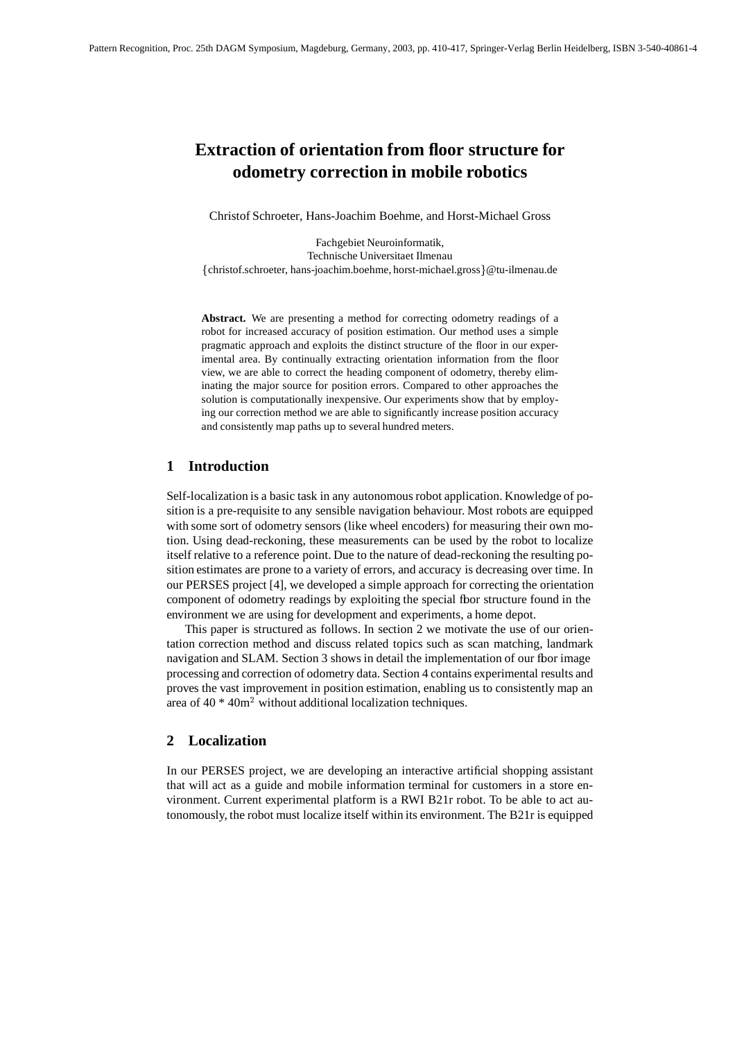# **Extraction of orientation from floor structure for odometry correction in mobile robotics**

Christof Schroeter, Hans-Joachim Boehme, and Horst-Michael Gross

Fachgebiet Neuroinformatik, Technische Universitaet Ilmenau christof.schroeter, hans-joachim.boehme, horst-michael.gross @tu-ilmenau.de

**Abstract.** We are presenting a method for correcting odometry readings of a robot for increased accuracy of position estimation. Our method uses a simple pragmatic approach and exploits the distinct structure of the floor in our experimental area. By continually extracting orientation information from the floor view, we are able to correct the heading component of odometry, thereby eliminating the major source for position errors. Compared to other approaches the solution is computationally inexpensive. Our experiments show that by employing our correction method we are able to significantly increase position accuracy and consistently map paths up to several hundred meters.

### **1 Introduction**

Self-localization is a basic task in any autonomous robot application. Knowledge of position is a pre-requisite to any sensible navigation behaviour. Most robots are equipped with some sort of odometry sensors (like wheel encoders) for measuring their own motion. Using dead-reckoning, these measurements can be used by the robot to localize itself relative to a reference point. Due to the nature of dead-reckoning the resulting position estimates are prone to a variety of errors, and accuracy is decreasing over time. In our PERSES project [4], we developed a simple approach for correcting the orientation component of odometry readings by exploiting the special floor structure found in the environment we are using for development and experiments, a home depot.

This paper is structured as follows. In section 2 we motivate the use of our orientation correction method and discuss related topics such as scan matching, landmark navigation and SLAM. Section 3 shows in detail the implementation of our floor image processing and correction of odometry data. Section 4 contains experimental results and proves the vast improvement in position estimation, enabling us to consistently map an area of  $40 * 40m^2$  without additional localization techniques.

### **2 Localization**

In our PERSES project, we are developing an interactive artificial shopping assistant that will act as a guide and mobile information terminal for customers in a store environment. Current experimental platform is a RWI B21r robot. To be able to act autonomously, the robot must localize itself within its environment. The B21r is equipped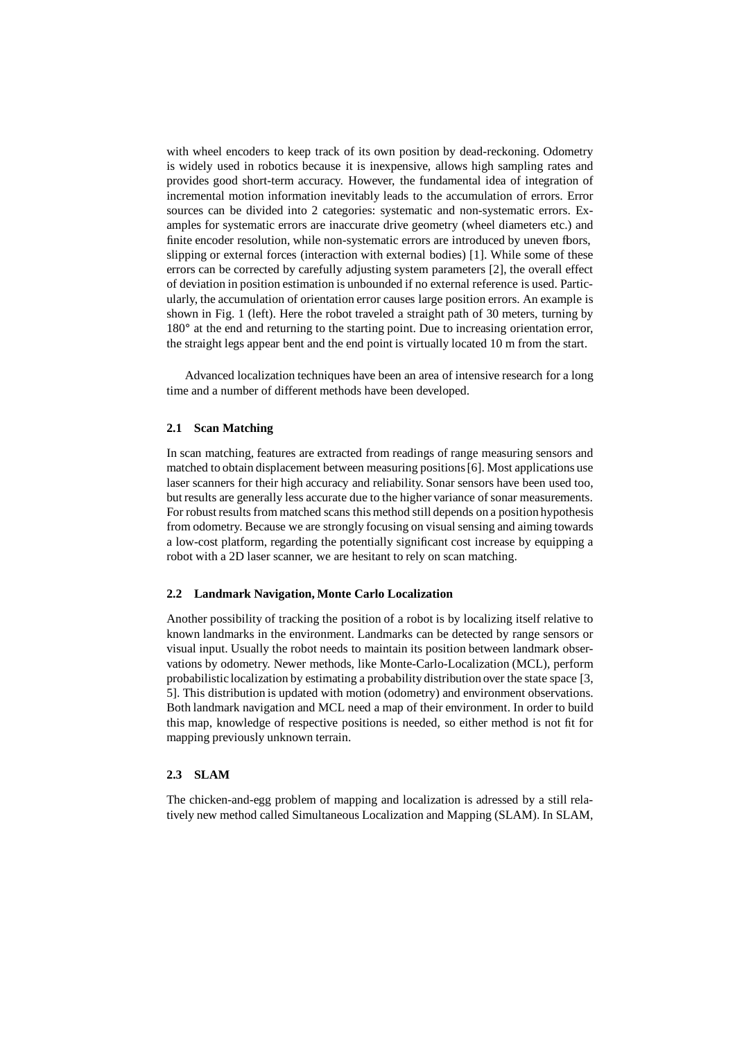with wheel encoders to keep track of its own position by dead-reckoning. Odometry is widely used in robotics because it is inexpensive, allows high sampling rates and provides good short-term accuracy. However, the fundamental idea of integration of incremental motion information inevitably leads to the accumulation of errors. Error sources can be divided into 2 categories: systematic and non-systematic errors. Examples for systematic errors are inaccurate drive geometry (wheel diameters etc.) and finite encoder resolution, while non-systematic errors are introduced by uneven fbors, slipping or external forces (interaction with external bodies) [1]. While some of these errors can be corrected by carefully adjusting system parameters [2], the overall effect of deviation in position estimation is unbounded if no external reference is used. Particularly, the accumulation of orientation error causes large position errors. An example is shown in Fig. 1 (left). Here the robot traveled a straight path of 30 meters, turning by 180<sup>°</sup> at the end and returning to the starting point. Due to increasing orientation error, the straight legs appear bent and the end point is virtually located 10 m from the start.

Advanced localization techniques have been an area of intensive research for a long time and a number of different methods have been developed.

### **2.1 Scan Matching**

In scan matching, features are extracted from readings of range measuring sensors and matched to obtain displacement between measuring positions[6]. Most applications use laser scanners for their high accuracy and reliability. Sonar sensors have been used too, but results are generally less accurate due to the higher variance of sonar measurements. For robust results from matched scans this method still depends on a position hypothesis from odometry. Because we are strongly focusing on visual sensing and aiming towards a low-cost platform, regarding the potentially significant cost increase by equipping a robot with a 2D laser scanner, we are hesitant to rely on scan matching.

### **2.2 Landmark Navigation, Monte Carlo Localization**

Another possibility of tracking the position of a robot is by localizing itself relative to known landmarks in the environment. Landmarks can be detected by range sensors or visual input. Usually the robot needs to maintain its position between landmark observations by odometry. Newer methods, like Monte-Carlo-Localization (MCL), perform probabilistic localization by estimating a probability distribution over the state space [3, 5]. This distribution is updated with motion (odometry) and environment observations. Both landmark navigation and MCL need a map of their environment. In order to build this map, knowledge of respective positions is needed, so either method is not fit for mapping previously unknown terrain.

### **2.3 SLAM**

The chicken-and-egg problem of mapping and localization is adressed by a still relatively new method called Simultaneous Localization and Mapping (SLAM). In SLAM,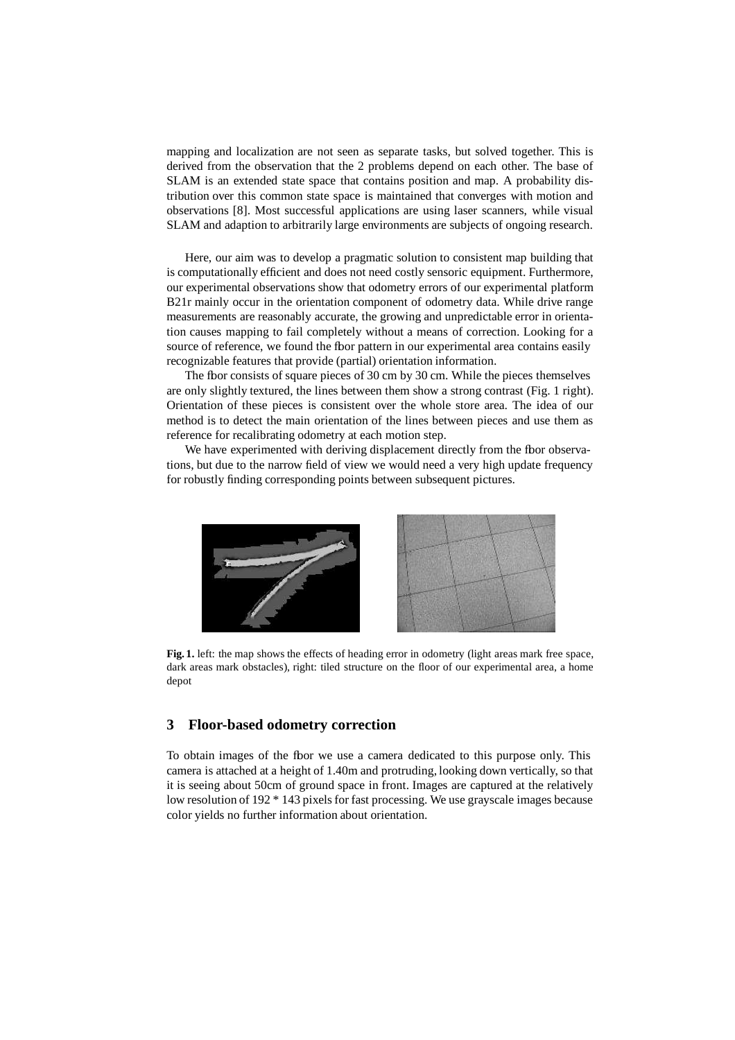mapping and localization are not seen as separate tasks, but solved together. This is derived from the observation that the 2 problems depend on each other. The base of SLAM is an extended state space that contains position and map. A probability distribution over this common state space is maintained that converges with motion and observations [8]. Most successful applications are using laser scanners, while visual SLAM and adaption to arbitrarily large environments are subjects of ongoing research.

Here, our aim was to develop a pragmatic solution to consistent map building that is computationally efficient and does not need costly sensoric equipment. Furthermore, our experimental observations show that odometry errors of our experimental platform B21r mainly occur in the orientation component of odometry data. While drive range measurements are reasonably accurate, the growing and unpredictable error in orientation causes mapping to fail completely without a means of correction. Looking for a source of reference, we found the floor pattern in our experimental area contains easily recognizable features that provide (partial) orientation information.

The fbor consists of square pieces of 30 cm by 30 cm. While the pieces themselves are only slightly textured, the lines between them show a strong contrast (Fig. 1 right). Orientation of these pieces is consistent over the whole store area. The idea of our method is to detect the main orientation of the lines between pieces and use them as reference for recalibrating odometry at each motion step.

We have experimented with deriving displacement directly from the floor observations, but due to the narrow field of view we would need a very high update frequency for robustly finding corresponding points between subsequent pictures.



**Fig. 1.** left: the map shows the effects of heading error in odometry (light areas mark free space, dark areas mark obstacles), right: tiled structure on the floor of our experimental area, a home depot

# **3 Floor-based odometry correction**

To obtain images of the fbor we use a camera dedicated to this purpose only. This camera is attached at a height of 1.40m and protruding, looking down vertically, so that it is seeing about 50cm of ground space in front. Images are captured at the relatively low resolution of 192 \* 143 pixels for fast processing. We use grayscale images because color yields no further information about orientation.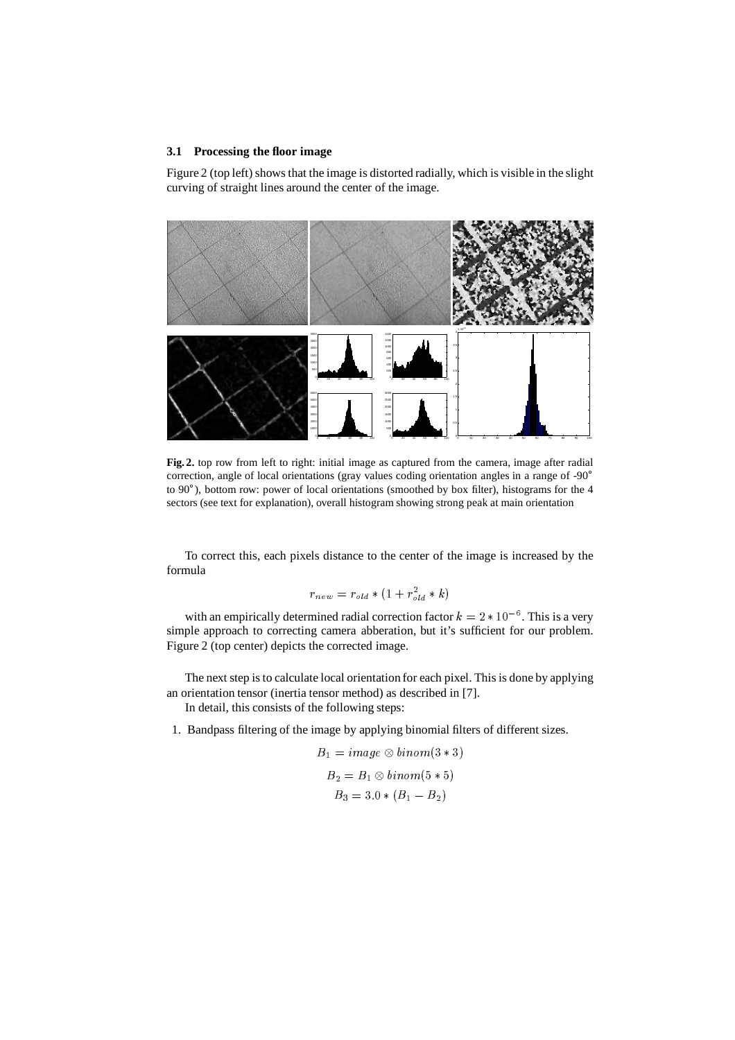#### **3.1 Processing the floor image**

Figure 2 (top left) shows that the image is distorted radially, which is visible in the slight curving of straight lines around the center of the image.



**Fig. 2.** top row from left to right: initial image as captured from the camera, image after radial correction, angle of local orientations (gray values coding orientation angles in a range of -90° to 90°), bottom row: power of local orientations (smoothed by box filter), histograms for the 4 sectors (see text for explanation), overall histogram showing strong peak at main orientation

To correct this, each pixels distance to the center of the image is increased by the formula

$$
r_{new} = r_{old} * (1 + r_{old}^2 * k)
$$

with an empirically determined radial correction factor  $k = 2 * 10^{-6}$ . This is a very simple approach to correcting camera abberation, but it's sufficient for our problem. Figure 2 (top center) depicts the corrected image.

The next step is to calculate local orientation for each pixel. This is done by applying an orientation tensor (inertia tensor method) as described in [7]. In detail, this consists of the following steps:

1. Bandpass filtering of the image by applying binomial filters of different sizes.

$$
B_1 = image \otimes binom(3*3)
$$
  
\n
$$
B_2 = B_1 \otimes binom(5*5)
$$
  
\n
$$
B_3 = 3.0 * (B_1 - B_2)
$$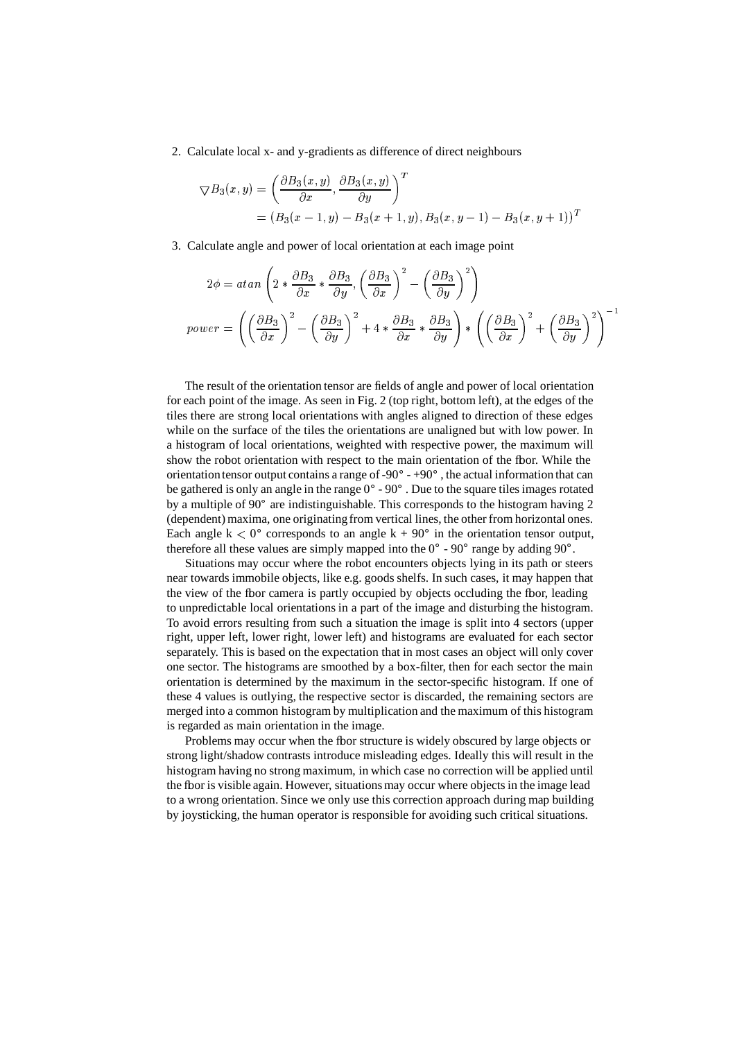2. Calculate local x- and y-gradients as difference of direct neighbours

$$
\nabla B_3(x,y) = \left(\frac{\partial B_3(x,y)}{\partial x}, \frac{\partial B_3(x,y)}{\partial y}\right)^T
$$
  
=  $(B_3(x-1,y) - B_3(x+1,y), B_3(x,y-1) - B_3(x,y+1))^T$ 

3. Calculate angle and power of local orientation at each image point

$$
2\phi = \operatorname{atan}\left(2 * \frac{\partial B_3}{\partial x} * \frac{\partial B_3}{\partial y}, \left(\frac{\partial B_3}{\partial x}\right)^2 - \left(\frac{\partial B_3}{\partial y}\right)^2\right)
$$
  
power = 
$$
\left(\left(\frac{\partial B_3}{\partial x}\right)^2 - \left(\frac{\partial B_3}{\partial y}\right)^2 + 4 * \frac{\partial B_3}{\partial x} * \frac{\partial B_3}{\partial y}\right) * \left(\left(\frac{\partial B_3}{\partial x}\right)^2 + \left(\frac{\partial B_3}{\partial y}\right)^2\right)^{-1}
$$

The result of the orientation tensor are fields of angle and power of local orientation for each point of the image. As seen in Fig. 2 (top right, bottom left), at the edges of the tiles there are strong local orientations with angles aligned to direction of these edges while on the surface of the tiles the orientations are unaligned but with low power. In a histogram of local orientations, weighted with respective power, the maximum will show the robot orientation with respect to the main orientation of the fbor. While the orientation tensor output contains a range of -90 $^{\circ}$  - +90 $^{\circ}$ , the actual information that can be gathered is only an angle in the range  $0^{\circ}$  -  $90^{\circ}$ . Due to the square tiles images rotated by a multiple of 90° are indistinguishable. This corresponds to the histogram having 2 (dependent) maxima, one originating from vertical lines, the other from horizontal ones. Each angle  $k < 0^{\circ}$  corresponds to an angle  $k + 90^{\circ}$  in the orientation tensor output, therefore all these values are simply mapped into the  $0^{\circ}$  -  $90^{\circ}$  range by adding  $90^{\circ}$ .

Situations may occur where the robot encounters objects lying in its path or steers near towards immobile objects, like e.g. goods shelfs. In such cases, it may happen that the view of the floor camera is partly occupied by objects occluding the floor, leading to unpredictable local orientations in a part of the image and disturbing the histogram. To avoid errors resulting from such a situation the image is split into 4 sectors (upper right, upper left, lower right, lower left) and histograms are evaluated for each sector separately. This is based on the expectation that in most cases an object will only cover one sector. The histograms are smoothed by a box-filter, then for each sector the main orientation is determined by the maximum in the sector-specific histogram. If one of these 4 values is outlying, the respective sector is discarded, the remaining sectors are merged into a common histogram by multiplication and the maximum of this histogram is regarded as main orientation in the image.

Problems may occur when the floor structure is widely obscured by large objects or strong light/shadow contrasts introduce misleading edges. Ideally this will result in the histogram having no strong maximum, in which case no correction will be applied until the fbor is visible again. However, situations may occur where objects in the image lead to a wrong orientation. Since we only use this correction approach during map building by joysticking, the human operator is responsible for avoiding such critical situations.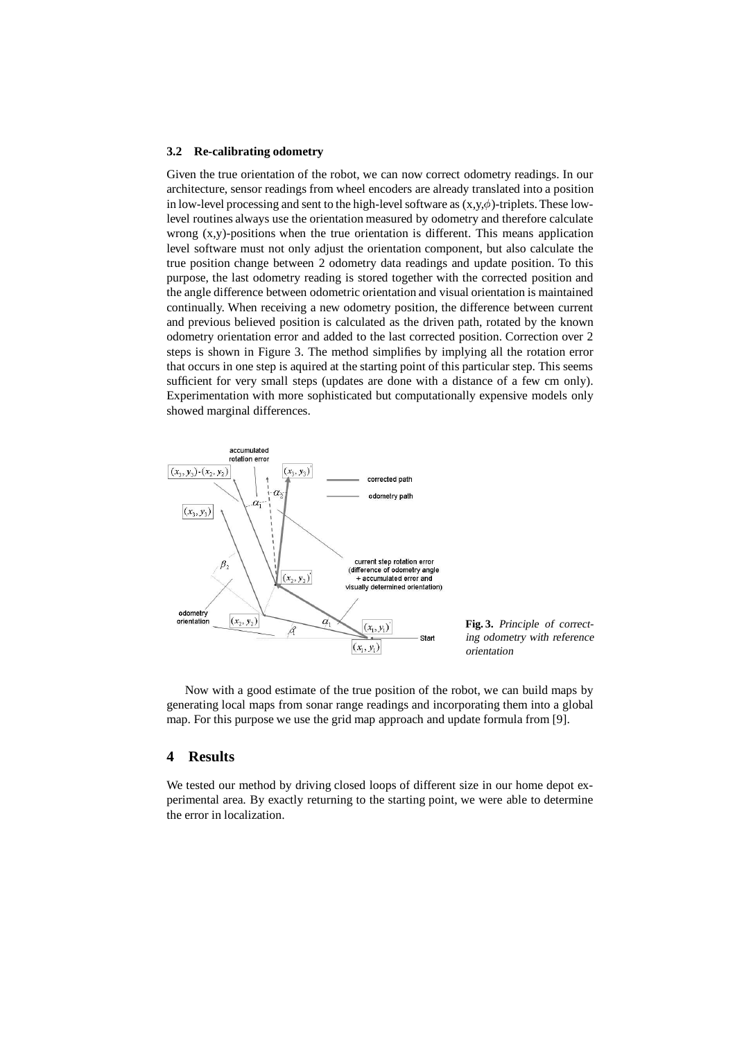#### **3.2 Re-calibrating odometry**

Given the true orientation of the robot, we can now correct odometry readings. In our architecture, sensor readings from wheel encoders are already translated into a position in low-level processing and sent to the high-level software as  $(x, y, \phi)$ -triplets. These lowlevel routines always use the orientation measured by odometry and therefore calculate wrong (x,y)-positions when the true orientation is different. This means application level software must not only adjust the orientation component, but also calculate the true position change between 2 odometry data readings and update position. To this purpose, the last odometry reading is stored together with the corrected position and the angle difference between odometric orientation and visual orientation is maintained continually. When receiving a new odometry position, the difference between current and previous believed position is calculated as the driven path, rotated by the known odometry orientation error and added to the last corrected position. Correction over 2 steps is shown in Figure 3. The method simplifies by implying all the rotation error that occurs in one step is aquired at the starting point of this particular step. This seems sufficient for very small steps (updates are done with a distance of a few cm only). Experimentation with more sophisticated but computationally expensive models only showed marginal differences.





Now with a good estimate of the true position of the robot, we can build maps by generating local maps from sonar range readings and incorporating them into a global map. For this purpose we use the grid map approach and update formula from [9].

### **4 Results**

We tested our method by driving closed loops of different size in our home depot experimental area. By exactly returning to the starting point, we were able to determine the error in localization.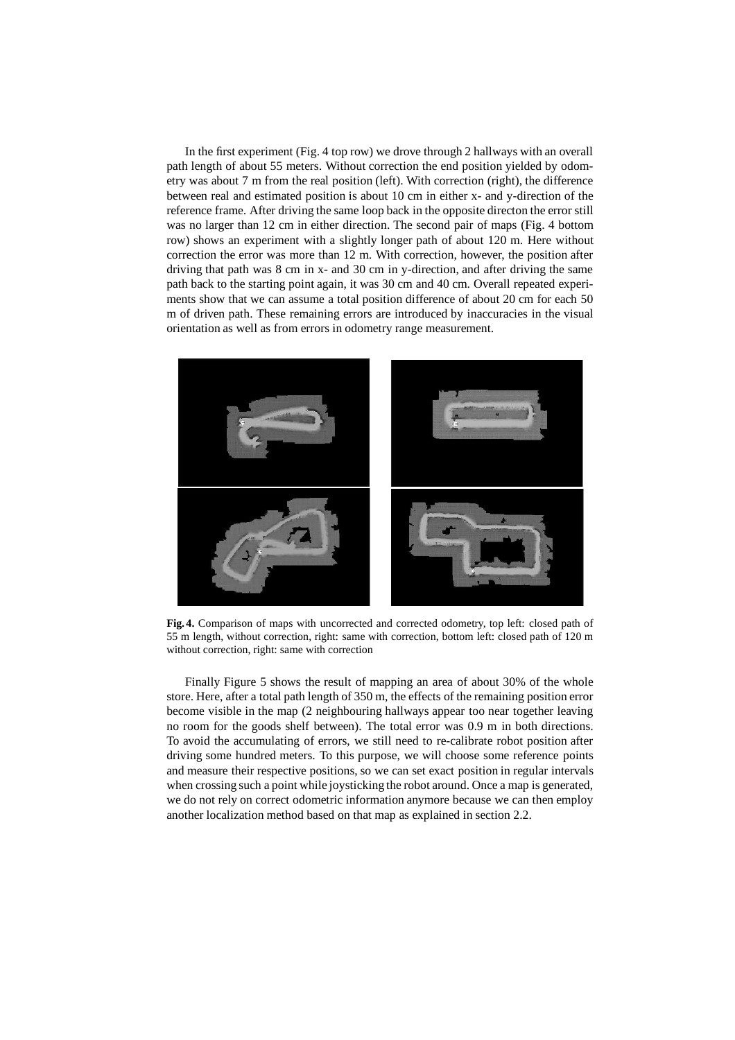In the first experiment (Fig. 4 top row) we drove through 2 hallways with an overall path length of about 55 meters. Without correction the end position yielded by odometry was about 7 m from the real position (left). With correction (right), the difference between real and estimated position is about 10 cm in either x- and y-direction of the reference frame. After driving the same loop back in the opposite directon the error still was no larger than 12 cm in either direction. The second pair of maps (Fig. 4 bottom row) shows an experiment with a slightly longer path of about 120 m. Here without correction the error was more than 12 m. With correction, however, the position after driving that path was 8 cm in x- and 30 cm in y-direction, and after driving the same path back to the starting point again, it was 30 cm and 40 cm. Overall repeated experiments show that we can assume a total position difference of about 20 cm for each 50 m of driven path. These remaining errors are introduced by inaccuracies in the visual orientation as well as from errors in odometry range measurement.



**Fig. 4.** Comparison of maps with uncorrected and corrected odometry, top left: closed path of 55 m length, without correction, right: same with correction, bottom left: closed path of 120 m without correction, right: same with correction

Finally Figure 5 shows the result of mapping an area of about 30% of the whole store. Here, after a total path length of 350 m, the effects of the remaining position error become visible in the map (2 neighbouring hallways appear too near together leaving no room for the goods shelf between). The total error was 0.9 m in both directions. To avoid the accumulating of errors, we still need to re-calibrate robot position after driving some hundred meters. To this purpose, we will choose some reference points and measure their respective positions, so we can set exact position in regular intervals when crossing such a point while joysticking the robot around. Once a map is generated, we do not rely on correct odometric information anymore because we can then employ another localization method based on that map as explained in section 2.2.